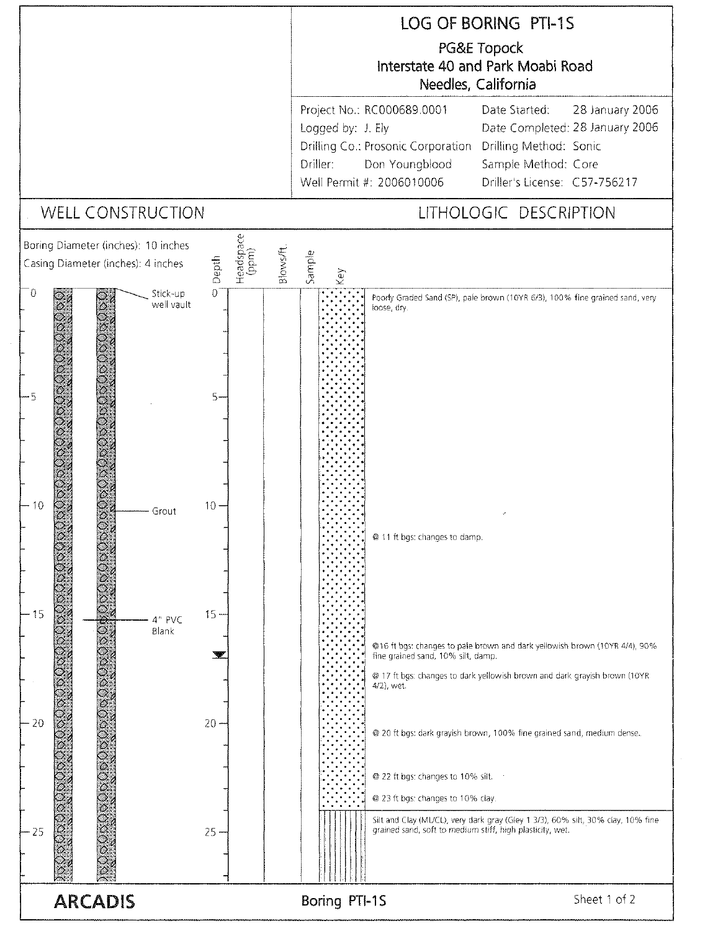